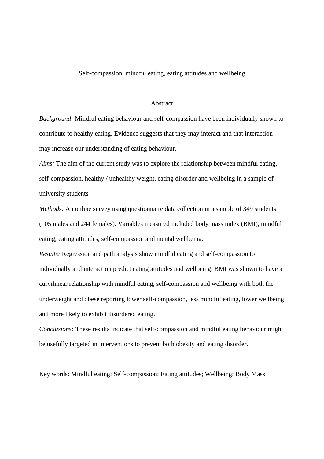#### Self-compassion, mindful eating, eating attitudes and wellbeing

#### Abstract

*Background:* Mindful eating behaviour and self-compassion have been individually shown to contribute to healthy eating. Evidence suggests that they may interact and that interaction may increase our understanding of eating behaviour.

*Aims:* The aim of the current study was to explore the relationship between mindful eating, self-compassion, healthy / unhealthy weight, eating disorder and wellbeing in a sample of university students

*Methods:* An online survey using questionnaire data collection in a sample of 349 students (105 males and 244 females). Variables measured included body mass index (BMI), mindful eating, eating attitudes, self-compassion and mental wellbeing.

*Results:* Regression and path analysis show mindful eating and self-compassion to individually and interaction predict eating attitudes and wellbeing. BMI was shown to have a curvilinear relationship with mindful eating, self-compassion and wellbeing with both the underweight and obese reporting lower self-compassion, less mindful eating, lower wellbeing and more likely to exhibit disordered eating.

*Conclusions:* These results indicate that self-compassion and mindful eating behaviour might be usefully targeted in interventions to prevent both obesity and eating disorder.

Key words: Mindful eating; Self-compassion; Eating attitudes; Wellbeing; Body Mass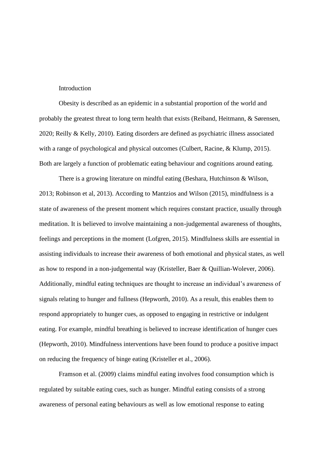## Introduction

Obesity is described as an epidemic in a substantial proportion of the world and probably the greatest threat to long term health that exists (Reiband, Heitmann, & Sørensen, 2020; Reilly & Kelly, 2010). Eating disorders are defined as psychiatric illness associated with a range of psychological and physical outcomes (Culbert, Racine, & Klump, 2015). Both are largely a function of problematic eating behaviour and cognitions around eating.

There is a growing literature on mindful eating (Beshara, Hutchinson & Wilson, 2013; Robinson et al, 2013). According to Mantzios and Wilson (2015), mindfulness is a state of awareness of the present moment which requires constant practice, usually through meditation. It is believed to involve maintaining a non-judgemental awareness of thoughts, feelings and perceptions in the moment (Lofgren, 2015). Mindfulness skills are essential in assisting individuals to increase their awareness of both emotional and physical states, as well as how to respond in a non-judgemental way (Kristeller, Baer & Quillian-Wolever, 2006). Additionally, mindful eating techniques are thought to increase an individual's awareness of signals relating to hunger and fullness (Hepworth, 2010). As a result, this enables them to respond appropriately to hunger cues, as opposed to engaging in restrictive or indulgent eating. For example, mindful breathing is believed to increase identification of hunger cues (Hepworth, 2010). Mindfulness interventions have been found to produce a positive impact on reducing the frequency of binge eating (Kristeller et al., 2006).

Framson et al. (2009) claims mindful eating involves food consumption which is regulated by suitable eating cues, such as hunger. Mindful eating consists of a strong awareness of personal eating behaviours as well as low emotional response to eating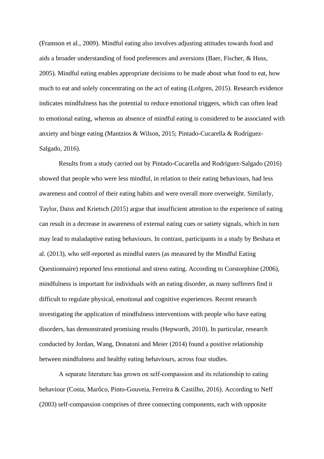(Framson et al., 2009). Mindful eating also involves adjusting attitudes towards food and aids a broader understanding of food preferences and aversions (Baer, Fischer, & Huss, 2005). Mindful eating enables appropriate decisions to be made about what food to eat, how much to eat and solely concentrating on the act of eating (Lofgren, 2015). Research evidence indicates mindfulness has the potential to reduce emotional triggers, which can often lead to emotional eating, whereas an absence of mindful eating is considered to be associated with anxiety and binge eating (Mantzios & Wilson, 2015; Pintado-Cucarella & Rodríguez-Salgado, 2016).

Results from a study carried out by Pintado-Cucarella and Rodríguez-Salgado (2016) showed that people who were less mindful, in relation to their eating behaviours, had less awareness and control of their eating habits and were overall more overweight. Similarly, Taylor, Daiss and Krietsch (2015) argue that insufficient attention to the experience of eating can result in a decrease in awareness of external eating cues or satiety signals, which in turn may lead to maladaptive eating behaviours. In contrast, participants in a study by Beshara et al. (2013), who self-reported as mindful eaters (as measured by the Mindful Eating Questionnaire) reported less emotional and stress eating. According to Corstorphine (2006), mindfulness is important for individuals with an eating disorder, as many sufferers find it difficult to regulate physical, emotional and cognitive experiences. Recent research investigating the application of mindfulness interventions with people who have eating disorders, has demonstrated promising results (Hepworth, 2010). In particular, research conducted by Jordan, Wang, Donatoni and Meier (2014) found a positive relationship between mindfulness and healthy eating behaviours, across four studies.

A separate literature has grown on self‐compassion and its relationship to eating behaviour (Costa, Marôco, Pinto-Gouveia, Ferreira & Castilho, 2016). According to Neff (2003) self-compassion comprises of three connecting components, each with opposite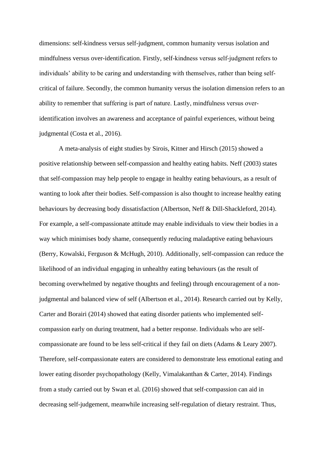dimensions: self-kindness versus self-judgment, common humanity versus isolation and mindfulness versus over-identification. Firstly, self‐kindness versus self‐judgment refers to individuals' ability to be caring and understanding with themselves, rather than being selfcritical of failure. Secondly, the common humanity versus the isolation dimension refers to an ability to remember that suffering is part of nature. Lastly, mindfulness versus over‐ identification involves an awareness and acceptance of painful experiences, without being judgmental (Costa et al., 2016).

A meta-analysis of eight studies by Sirois, Kitner and Hirsch (2015) showed a positive relationship between self-compassion and healthy eating habits. Neff (2003) states that self-compassion may help people to engage in healthy eating behaviours, as a result of wanting to look after their bodies. Self-compassion is also thought to increase healthy eating behaviours by decreasing body dissatisfaction (Albertson, Neff & Dill-Shackleford, 2014). For example, a self-compassionate attitude may enable individuals to view their bodies in a way which minimises body shame, consequently reducing maladaptive eating behaviours (Berry, Kowalski, Ferguson & McHugh, 2010). Additionally, self-compassion can reduce the likelihood of an individual engaging in unhealthy eating behaviours (as the result of becoming overwhelmed by negative thoughts and feeling) through encouragement of a nonjudgmental and balanced view of self (Albertson et al., 2014). Research carried out by Kelly, Carter and Borairi (2014) showed that eating disorder patients who implemented selfcompassion early on during treatment, had a better response. Individuals who are selfcompassionate are found to be less self-critical if they fail on diets (Adams & Leary 2007). Therefore, self-compassionate eaters are considered to demonstrate less emotional eating and lower eating disorder psychopathology (Kelly, Vimalakanthan & Carter, 2014). Findings from a study carried out by Swan et al. (2016) showed that self-compassion can aid in decreasing self-judgement, meanwhile increasing self-regulation of dietary restraint. Thus,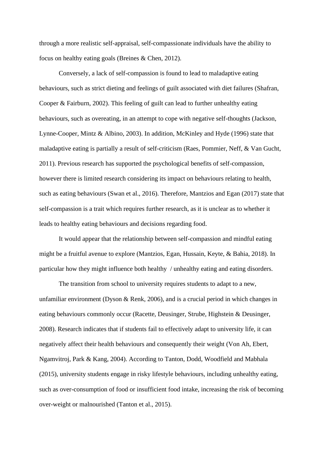through a more realistic self-appraisal, self-compassionate individuals have the ability to focus on healthy eating goals (Breines & Chen, 2012).

Conversely, a lack of self-compassion is found to lead to maladaptive eating behaviours, such as strict dieting and feelings of guilt associated with diet failures (Shafran, Cooper & Fairburn, 2002). This feeling of guilt can lead to further unhealthy eating behaviours, such as overeating, in an attempt to cope with negative self-thoughts (Jackson, Lynne-Cooper, Mintz & Albino, 2003). In addition, McKinley and Hyde (1996) state that maladaptive eating is partially a result of self-criticism (Raes, Pommier, Neff, & Van Gucht, 2011). Previous research has supported the psychological benefits of self-compassion, however there is limited research considering its impact on behaviours relating to health, such as eating behaviours (Swan et al., 2016). Therefore, Mantzios and Egan (2017) state that self-compassion is a trait which requires further research, as it is unclear as to whether it leads to healthy eating behaviours and decisions regarding food.

It would appear that the relationship between self-compassion and mindful eating might be a fruitful avenue to explore (Mantzios, Egan, Hussain, Keyte, & Bahia, 2018). In particular how they might influence both healthy / unhealthy eating and eating disorders.

The transition from school to university requires students to adapt to a new, unfamiliar environment (Dyson & Renk, 2006), and is a crucial period in which changes in eating behaviours commonly occur (Racette, Deusinger, Strube, Highstein & Deusinger, 2008). Research indicates that if students fail to effectively adapt to university life, it can negatively affect their health behaviours and consequently their weight (Von Ah, Ebert, Ngamvitroj, Park & Kang, 2004). According to Tanton, Dodd, Woodfield and Mabhala (2015), university students engage in risky lifestyle behaviours, including unhealthy eating, such as over-consumption of food or insufficient food intake, increasing the risk of becoming over-weight or malnourished (Tanton et al., 2015).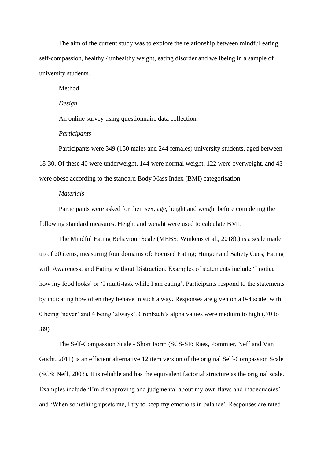The aim of the current study was to explore the relationship between mindful eating, self-compassion, healthy / unhealthy weight, eating disorder and wellbeing in a sample of university students.

Method

*Design* 

An online survey using questionnaire data collection.

## *Participants*

Participants were 349 (150 males and 244 females) university students, aged between 18-30. Of these 40 were underweight, 144 were normal weight, 122 were overweight, and 43 were obese according to the standard Body Mass Index (BMI) categorisation.

# *Materials*

Participants were asked for their sex, age, height and weight before completing the following standard measures. Height and weight were used to calculate BMI.

The Mindful Eating Behaviour Scale (MEBS: Winkens et al., 2018).) is a scale made up of 20 items, measuring four domains of: Focused Eating; Hunger and Satiety Cues; Eating with Awareness; and Eating without Distraction. Examples of statements include 'I notice how my food looks' or 'I multi-task while I am eating'. Participants respond to the statements by indicating how often they behave in such a way. Responses are given on a 0-4 scale, with 0 being 'never' and 4 being 'always'. Cronbach's alpha values were medium to high (.70 to .89)

The Self-Compassion Scale - Short Form (SCS-SF: Raes, Pommier, Neff and Van Gucht, 2011) is an efficient alternative 12 item version of the original Self-Compassion Scale (SCS: Neff, 2003). It is reliable and has the equivalent factorial structure as the original scale. Examples include 'I'm disapproving and judgmental about my own flaws and inadequacies' and 'When something upsets me, I try to keep my emotions in balance'. Responses are rated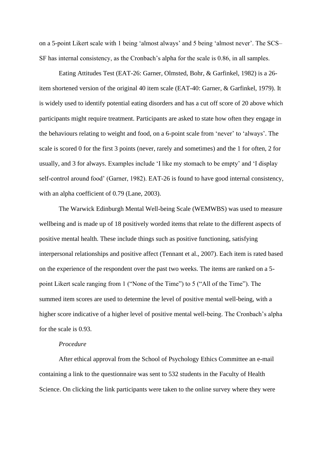on a 5-point Likert scale with 1 being 'almost always' and 5 being 'almost never'. The SCS– SF has internal consistency, as the Cronbach's alpha for the scale is 0.86, in all samples.

Eating Attitudes Test (EAT-26: Garner, Olmsted, Bohr, & Garfinkel, 1982) is a 26 item shortened version of the original 40 item scale (EAT-40: Garner, & Garfinkel, 1979). It is widely used to identify potential eating disorders and has a cut off score of 20 above which participants might require treatment. Participants are asked to state how often they engage in the behaviours relating to weight and food, on a 6-point scale from 'never' to 'always'. The scale is scored 0 for the first 3 points (never, rarely and sometimes) and the 1 for often, 2 for usually, and 3 for always. Examples include 'I like my stomach to be empty' and 'I display self-control around food' (Garner, 1982). EAT-26 is found to have good internal consistency, with an alpha coefficient of 0.79 (Lane, 2003).

The Warwick Edinburgh Mental Well-being Scale (WEMWBS) was used to measure wellbeing and is made up of 18 positively worded items that relate to the different aspects of positive mental health. These include things such as positive functioning, satisfying interpersonal relationships and positive affect (Tennant et al., 2007). Each item is rated based on the experience of the respondent over the past two weeks. The items are ranked on a 5 point Likert scale ranging from 1 ("None of the Time") to 5 ("All of the Time"). The summed item scores are used to determine the level of positive mental well-being, with a higher score indicative of a higher level of positive mental well-being. The Cronbach's alpha for the scale is 0.93.

# *Procedure*

After ethical approval from the School of Psychology Ethics Committee an e-mail containing a link to the questionnaire was sent to 532 students in the Faculty of Health Science. On clicking the link participants were taken to the online survey where they were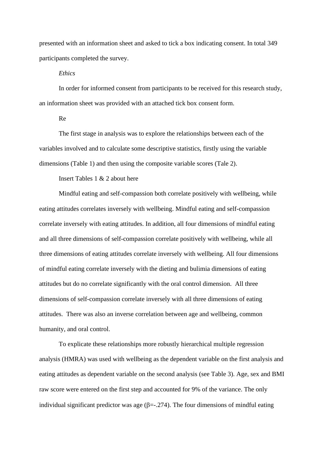presented with an information sheet and asked to tick a box indicating consent. In total 349 participants completed the survey.

## *Ethics*

In order for informed consent from participants to be received for this research study, an information sheet was provided with an attached tick box consent form.

# Re

The first stage in analysis was to explore the relationships between each of the variables involved and to calculate some descriptive statistics, firstly using the variable dimensions (Table 1) and then using the composite variable scores (Tale 2).

### Insert Tables 1 & 2 about here

Mindful eating and self-compassion both correlate positively with wellbeing, while eating attitudes correlates inversely with wellbeing. Mindful eating and self-compassion correlate inversely with eating attitudes. In addition, all four dimensions of mindful eating and all three dimensions of self-compassion correlate positively with wellbeing, while all three dimensions of eating attitudes correlate inversely with wellbeing. All four dimensions of mindful eating correlate inversely with the dieting and bulimia dimensions of eating attitudes but do no correlate significantly with the oral control dimension. All three dimensions of self-compassion correlate inversely with all three dimensions of eating attitudes. There was also an inverse correlation between age and wellbeing, common humanity, and oral control.

To explicate these relationships more robustly hierarchical multiple regression analysis (HMRA) was used with wellbeing as the dependent variable on the first analysis and eating attitudes as dependent variable on the second analysis (see Table 3). Age, sex and BMI raw score were entered on the first step and accounted for 9% of the variance. The only individual significant predictor was age  $(\beta = -1.274)$ . The four dimensions of mindful eating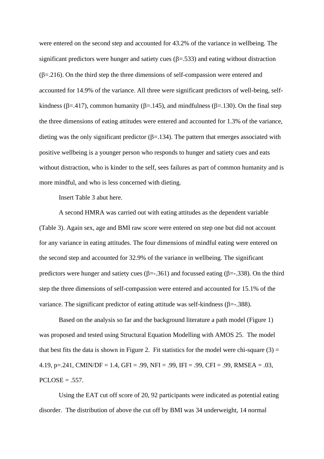were entered on the second step and accounted for 43.2% of the variance in wellbeing. The significant predictors were hunger and satiety cues  $(\beta = .533)$  and eating without distraction  $(\beta = 216)$ . On the third step the three dimensions of self-compassion were entered and accounted for 14.9% of the variance. All three were significant predictors of well-being, selfkindness ( $\beta$ =.417), common humanity ( $\beta$ =.145), and mindfulness ( $\beta$ =.130). On the final step the three dimensions of eating attitudes were entered and accounted for 1.3% of the variance, dieting was the only significant predictor  $(\beta = .134)$ . The pattern that emerges associated with positive wellbeing is a younger person who responds to hunger and satiety cues and eats without distraction, who is kinder to the self, sees failures as part of common humanity and is more mindful, and who is less concerned with dieting.

Insert Table 3 abut here.

A second HMRA was carried out with eating attitudes as the dependent variable (Table 3). Again sex, age and BMI raw score were entered on step one but did not account for any variance in eating attitudes. The four dimensions of mindful eating were entered on the second step and accounted for 32.9% of the variance in wellbeing. The significant predictors were hunger and satiety cues ( $\beta = -0.361$ ) and focussed eating ( $\beta = -0.338$ ). On the third step the three dimensions of self-compassion were entered and accounted for 15.1% of the variance. The significant predictor of eating attitude was self-kindness ( $\beta = -0.388$ ).

Based on the analysis so far and the background literature a path model (Figure 1) was proposed and tested using Structural Equation Modelling with AMOS 25. The model that best fits the data is shown in Figure 2. Fit statistics for the model were chi-square  $(3)$  = 4.19, p=.241, CMIN/DF = 1.4, GFI = .99, NFI = .99, IFI = .99, CFI = .99, RMSEA = .03,  $PCLOSE = .557.$ 

Using the EAT cut off score of 20, 92 participants were indicated as potential eating disorder. The distribution of above the cut off by BMI was 34 underweight, 14 normal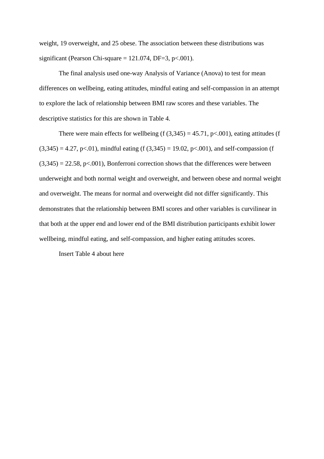weight, 19 overweight, and 25 obese. The association between these distributions was significant (Pearson Chi-square =  $121.074$ , DF=3, p<.001).

The final analysis used one-way Analysis of Variance (Anova) to test for mean differences on wellbeing, eating attitudes, mindful eating and self-compassion in an attempt to explore the lack of relationship between BMI raw scores and these variables. The descriptive statistics for this are shown in Table 4.

There were main effects for wellbeing (f  $(3,345) = 45.71$ , p<.001), eating attitudes (f  $(3,345) = 4.27$ , p<.01), mindful eating (f  $(3,345) = 19.02$ , p<.001), and self-compassion (f  $(3,345) = 22.58$ , p<.001), Bonferroni correction shows that the differences were between underweight and both normal weight and overweight, and between obese and normal weight and overweight. The means for normal and overweight did not differ significantly. This demonstrates that the relationship between BMI scores and other variables is curvilinear in that both at the upper end and lower end of the BMI distribution participants exhibit lower wellbeing, mindful eating, and self-compassion, and higher eating attitudes scores.

Insert Table 4 about here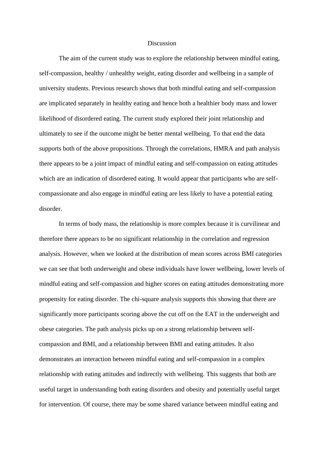#### Discussion

The aim of the current study was to explore the relationship between mindful eating, self-compassion, healthy / unhealthy weight, eating disorder and wellbeing in a sample of university students. Previous research shows that both mindful eating and self-compassion are implicated separately in healthy eating and hence both a healthier body mass and lower likelihood of disordered eating. The current study explored their joint relationship and ultimately to see if the outcome might be better mental wellbeing. To that end the data supports both of the above propositions. Through the correlations, HMRA and path analysis there appears to be a joint impact of mindful eating and self-compassion on eating attitudes which are an indication of disordered eating. It would appear that participants who are selfcompassionate and also engage in mindful eating are less likely to have a potential eating disorder.

In terms of body mass, the relationship is more complex because it is curvilinear and therefore there appears to be no significant relationship in the correlation and regression analysis. However, when we looked at the distribution of mean scores across BMI categories we can see that both underweight and obese individuals have lower wellbeing, lower levels of mindful eating and self-compassion and higher scores on eating attitudes demonstrating more propensity for eating disorder. The chi-square analysis supports this showing that there are significantly more participants scoring above the cut off on the EAT in the underweight and obese categories. The path analysis picks up on a strong relationship between selfcompassion and BMI, and a relationship between BMI and eating attitudes. It also demonstrates an interaction between mindful eating and self-compassion in a complex relationship with eating attitudes and indirectly with wellbeing. This suggests that both are useful target in understanding both eating disorders and obesity and potentially useful target for intervention. Of course, there may be some shared variance between mindful eating and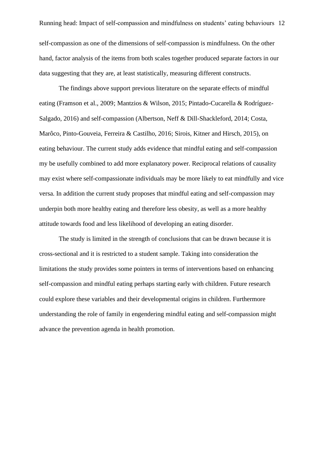self-compassion as one of the dimensions of self-compassion is mindfulness. On the other hand, factor analysis of the items from both scales together produced separate factors in our data suggesting that they are, at least statistically, measuring different constructs.

The findings above support previous literature on the separate effects of mindful eating (Framson et al., 2009; Mantzios & Wilson, 2015; Pintado-Cucarella & Rodríguez-Salgado, 2016) and self-compassion (Albertson, Neff & Dill-Shackleford, 2014; Costa, Marôco, Pinto-Gouveia, Ferreira & Castilho, 2016; Sirois, Kitner and Hirsch, 2015), on eating behaviour. The current study adds evidence that mindful eating and self-compassion my be usefully combined to add more explanatory power. Reciprocal relations of causality may exist where self-compassionate individuals may be more likely to eat mindfully and vice versa. In addition the current study proposes that mindful eating and self-compassion may underpin both more healthy eating and therefore less obesity, as well as a more healthy attitude towards food and less likelihood of developing an eating disorder.

The study is limited in the strength of conclusions that can be drawn because it is cross-sectional and it is restricted to a student sample. Taking into consideration the limitations the study provides some pointers in terms of interventions based on enhancing self-compassion and mindful eating perhaps starting early with children. Future research could explore these variables and their developmental origins in children. Furthermore understanding the role of family in engendering mindful eating and self-compassion might advance the prevention agenda in health promotion.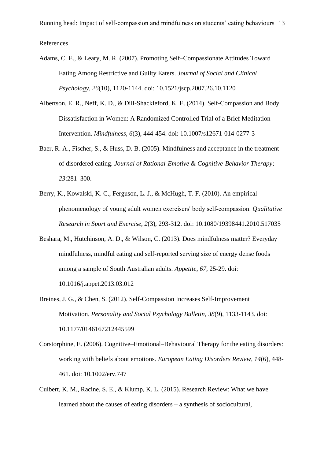Running head: Impact of self-compassion and mindfulness on students' eating behaviours 13

References

- Adams, C. E., & Leary, M. R. (2007). Promoting Self–Compassionate Attitudes Toward Eating Among Restrictive and Guilty Eaters. *Journal of Social and Clinical Psychology*, *26*(10), 1120-1144. doi: 10.1521/jscp.2007.26.10.1120
- Albertson, E. R., Neff, K. D., & Dill-Shackleford, K. E. (2014). Self-Compassion and Body Dissatisfaction in Women: A Randomized Controlled Trial of a Brief Meditation Intervention. *Mindfulness*, *6*(3), 444-454. doi: 10.1007/s12671-014-0277-3
- Baer, R. A., Fischer, S., & Huss, D. B. (2005). Mindfulness and acceptance in the treatment of disordered eating. *Journal of Rational-Emotive & Cognitive-Behavior Therapy; 23*:281–300.
- Berry, K., Kowalski, K. C., Ferguson, L. J., & McHugh, T. F. (2010). An empirical phenomenology of young adult women exercisers' body self‐compassion. *Qualitative Research in Sport and Exercise*, *2*(3), 293-312. doi: 10.1080/19398441.2010.517035
- Beshara, M., Hutchinson, A. D., & Wilson, C. (2013). Does mindfulness matter? Everyday mindfulness, mindful eating and self-reported serving size of energy dense foods among a sample of South Australian adults. *Appetite*, *67*, 25-29. doi: 10.1016/j.appet.2013.03.012
- Breines, J. G., & Chen, S. (2012). Self-Compassion Increases Self-Improvement Motivation. *Personality and Social Psychology Bulletin*, *38*(9), 1133-1143. doi: 10.1177/0146167212445599
- Corstorphine, E. (2006). Cognitive–Emotional–Behavioural Therapy for the eating disorders: working with beliefs about emotions. *European Eating Disorders Review*, *14*(6), 448- 461. doi: 10.1002/erv.747
- Culbert, K. M., Racine, S. E., & Klump, K. L. (2015). Research Review: What we have learned about the causes of eating disorders – a synthesis of sociocultural,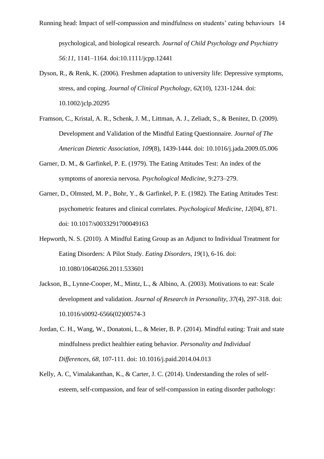psychological, and biological research. *Journal of Child Psychology and Psychiatry 56:11*, 1141–1164. doi:10.1111/jcpp.12441

- Dyson, R., & Renk, K. (2006). Freshmen adaptation to university life: Depressive symptoms, stress, and coping. *Journal of Clinical Psychology*, *62*(10), 1231-1244. doi: 10.1002/jclp.20295
- Framson, C., Kristal, A. R., Schenk, J. M., Littman, A. J., Zeliadt, S., & Benitez, D. (2009). Development and Validation of the Mindful Eating Questionnaire. *Journal of The American Dietetic Association*, *109*(8), 1439-1444. doi: 10.1016/j.jada.2009.05.006
- Garner, D. M., & Garfinkel, P. E. (1979). The Eating Attitudes Test: An index of the symptoms of anorexia nervosa. *Psychological Medicine,* 9:273–279.
- Garner, D., Olmsted, M. P., Bohr, Y., & Garfinkel, P. E. (1982). The Eating Attitudes Test: psychometric features and clinical correlates. *Psychological Medicine*, *12*(04), 871. doi: 10.1017/s0033291700049163
- Hepworth, N. S. (2010). A Mindful Eating Group as an Adjunct to Individual Treatment for Eating Disorders: A Pilot Study. *Eating Disorders*, *19*(1), 6-16. doi: 10.1080/10640266.2011.533601
- Jackson, B., Lynne-Cooper, M., Mintz, L., & Albino, A. (2003). Motivations to eat: Scale development and validation. *Journal of Research in Personality*, *37*(4), 297-318. doi: 10.1016/s0092-6566(02)00574-3
- Jordan, C. H., Wang, W., Donatoni, L., & Meier, B. P. (2014). Mindful eating: Trait and state mindfulness predict healthier eating behavior. *Personality and Individual Differences*, *68*, 107-111. doi: 10.1016/j.paid.2014.04.013
- Kelly, A. C, Vimalakanthan, K., & Carter, J. C. (2014). Understanding the roles of selfesteem, self-compassion, and fear of self-compassion in eating disorder pathology: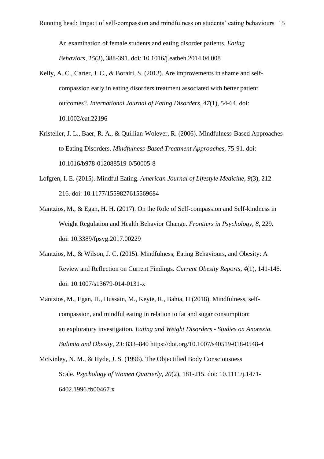An examination of female students and eating disorder patients. *Eating Behaviors*, *15*(3), 388-391. doi: 10.1016/j.eatbeh.2014.04.008

- Kelly, A. C., Carter, J. C., & Borairi, S. (2013). Are improvements in shame and selfcompassion early in eating disorders treatment associated with better patient outcomes?. *International Journal of Eating Disorders*, *47*(1), 54-64. doi: 10.1002/eat.22196
- Kristeller, J. L., Baer, R. A., & Quillian-Wolever, R. (2006). Mindfulness-Based Approaches to Eating Disorders. *Mindfulness-Based Treatment Approaches*, 75-91. doi: 10.1016/b978-012088519-0/50005-8
- Lofgren, I. E. (2015). Mindful Eating. *American Journal of Lifestyle Medicine*, *9*(3), 212- 216. doi: 10.1177/1559827615569684
- Mantzios, M., & Egan, H. H. (2017). On the Role of Self-compassion and Self-kindness in Weight Regulation and Health Behavior Change. *Frontiers in Psychology*, *8*, 229. doi: 10.3389/fpsyg.2017.00229
- Mantzios, M., & Wilson, J. C. (2015). Mindfulness, Eating Behaviours, and Obesity: A Review and Reflection on Current Findings. *Current Obesity Reports*, *4*(1), 141-146. doi: 10.1007/s13679-014-0131-x
- Mantzios, M., Egan, H., Hussain, M., Keyte, R., Bahia, H (2018). Mindfulness, selfcompassion, and mindful eating in relation to fat and sugar consumption: an exploratory investigation*. Eating and Weight Disorders - Studies on Anorexia, Bulimia and Obesity, 23*: 833–840 https://doi.org/10.1007/s40519-018-0548-4
- McKinley, N. M., & Hyde, J. S. (1996). The Objectified Body Consciousness Scale. *Psychology of Women Quarterly*, *20*(2), 181-215. doi: 10.1111/j.1471- 6402.1996.tb00467.x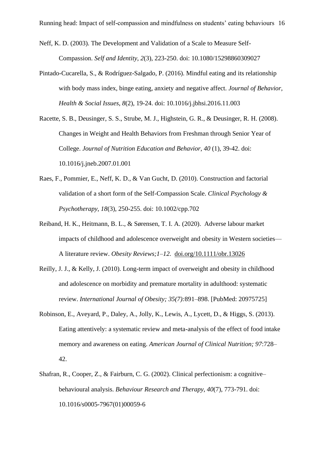Neff, K. D. (2003). The Development and Validation of a Scale to Measure Self-Compassion. *Self and Identity*, *2*(3), 223-250. doi: 10.1080/15298860309027

- Pintado-Cucarella, S., & Rodríguez-Salgado, P. (2016). Mindful eating and its relationship with body mass index, binge eating, anxiety and negative affect. *Journal of Behavior, Health & Social Issues*, *8*(2), 19-24. doi: 10.1016/j.jbhsi.2016.11.003
- Racette, S. B., Deusinger, S. S., Strube, M. J., Highstein, G. R., & Deusinger, R. H. (2008). Changes in Weight and Health Behaviors from Freshman through Senior Year of College. *Journal of Nutrition Education and Behavior*, *40* (1), 39-42. doi: 10.1016/j.jneb.2007.01.001
- Raes, F., Pommier, E., Neff, K. D., & Van Gucht, D. (2010). Construction and factorial validation of a short form of the Self-Compassion Scale. *Clinical Psychology & Psychotherapy*, *18*(3), 250-255. doi: 10.1002/cpp.702
- Reiband, H. K., Heitmann, B. L., & Sørensen, T. I. A. (2020). Adverse labour market impacts of childhood and adolescence overweight and obesity in Western societies— A literature review. *Obesity Reviews;1–12.* [doi.org/10.1111/obr.13026](https://doi.org/10.1111/obr.13026)
- Reilly, J. J., & Kelly, J. (2010). Long-term impact of overweight and obesity in childhood and adolescence on morbidity and premature mortality in adulthood: systematic review. *International Journal of Obesity; 35(7):*891–898. [PubMed: 20975725]
- Robinson, E., Aveyard, P., Daley, A., Jolly, K., Lewis, A., Lycett, D., & Higgs, S. (2013). Eating attentively: a systematic review and meta-analysis of the effect of food intake memory and awareness on eating. *American Journal of Clinical Nutrition; 97*:728– 42.
- Shafran, R., Cooper, Z., & Fairburn, C. G. (2002). Clinical perfectionism: a cognitive– behavioural analysis. *Behaviour Research and Therapy*, *40*(7), 773-791. doi: 10.1016/s0005-7967(01)00059-6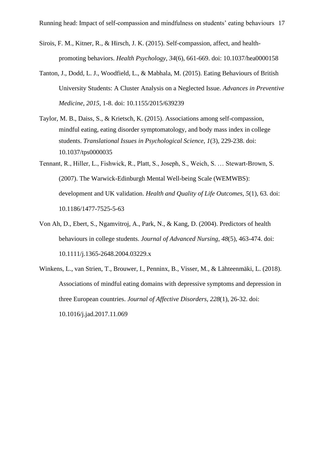- Sirois, F. M., Kitner, R., & Hirsch, J. K. (2015). Self-compassion, affect, and healthpromoting behaviors. *Health Psychology*, *34*(6), 661-669. doi: 10.1037/hea0000158
- Tanton, J., Dodd, L. J., Woodfield, L., & Mabhala, M. (2015). Eating Behaviours of British University Students: A Cluster Analysis on a Neglected Issue. *Advances in Preventive Medicine*, *2015*, 1-8. doi: 10.1155/2015/639239
- Taylor, M. B., Daiss, S., & Krietsch, K. (2015). Associations among self-compassion, mindful eating, eating disorder symptomatology, and body mass index in college students. *Translational Issues in Psychological Science*, *1*(3), 229-238. doi: 10.1037/tps0000035
- Tennant, R., Hiller, L., Fishwick, R., Platt, S., Joseph, S., Weich, S. … Stewart-Brown, S. (2007). The Warwick-Edinburgh Mental Well-being Scale (WEMWBS): development and UK validation. *Health and Quality of Life Outcomes*, *5*(1), 63. doi: 10.1186/1477-7525-5-63
- Von Ah, D., Ebert, S., Ngamvitroj, A., Park, N., & Kang, D. (2004). Predictors of health behaviours in college students. *Journal of Advanced Nursing*, *48*(5), 463-474. doi: 10.1111/j.1365-2648.2004.03229.x
- Winkens, L., van Strien, T., Brouwer, I., Penninx, B., Visser, M., & Lähteenmäki, L. (2018). Associations of mindful eating domains with depressive symptoms and depression in three European countries. *Journal of Affective Disorders*, *228*(1), 26-32. doi: 10.1016/j.jad.2017.11.069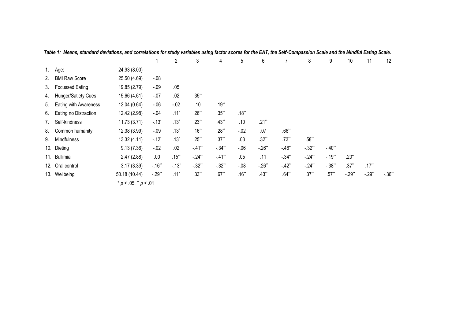|     |                        |                            | $\mathbf{1}$ | $\overline{2}$     | 3          | 4                   | 5        | 6        | 7                   | 8          | 9          | 10      | 11       | 12      |
|-----|------------------------|----------------------------|--------------|--------------------|------------|---------------------|----------|----------|---------------------|------------|------------|---------|----------|---------|
| 1.  | Age:                   | 24.93 (8.00)               |              |                    |            |                     |          |          |                     |            |            |         |          |         |
| 2.  | <b>BMI Raw Score</b>   | 25.50 (4.69)               | $-.08$       |                    |            |                     |          |          |                     |            |            |         |          |         |
| 3.  | <b>Focussed Eating</b> | 19.85 (2.79)               | $-.09$       | .05                |            |                     |          |          |                     |            |            |         |          |         |
| 4.  | Hunger/Satiety Cues    | 15.66 (4.61)               | $-.07$       | .02                | $.35**$    |                     |          |          |                     |            |            |         |          |         |
| 5.  | Eating with Awareness  | 12.04 (0.64)               | $-06$        | $-02$              | .10        | $.19**$             |          |          |                     |            |            |         |          |         |
| 6.  | Eating no Distraction  | 12.42 (2.98)               | $-.04$       | $.11*$             | $.26**$    | $.35**$             | $.18**$  |          |                     |            |            |         |          |         |
| 7.  | Self-kindness          | 11.73(3.71)                | $-13^{*}$    | $.13*$             | $.23**$    | $.43**$             | .10      | $.21**$  |                     |            |            |         |          |         |
| 8.  | Common humanity        | 12.38 (3.99)               | $-.09$       | $.13*$             | $.16**$    | $.28**$             | $-.02$   | .07      | $.66**$             |            |            |         |          |         |
| 9.  | Mindfulness            | 13.32 (4.11)               | $-12^{*}$    | $.13*$             | $.25**$    | $.37**$             | .03      | $.32**$  | $.73**$             | $.58**$    |            |         |          |         |
|     | 10. Dieting            | 9.13(7.36)                 | $-.02$       | .02                | $-41$ **   | $-.34**$            | $-06$    | $-26$ ** | $-46"$              | $-32^{**}$ | $-40^{**}$ |         |          |         |
|     | 11. Bullimia           | 2.47(2.88)                 | .00          | $.15***$           | $-24**$    | $-41$ <sup>**</sup> | .05      | .11      | $-.34**$            | $-24**$    | $-19**$    | $.20**$ |          |         |
| 12. | Oral control           | 3.17(3.39)                 | $-.16**$     | $-.13"$            | $-32^{**}$ | $-.32**$            | $-0.08$  | $-26$ ** | $-42$ <sup>**</sup> | $-24**$    | $-.38**$   | $.37**$ | $.17***$ |         |
|     | 13. Wellbeing          | 50.18 (10.44)              | $-29**$      | $.11$ <sup>*</sup> | $.33**$    | $.67**$             | $.16***$ | $.43**$  | $.64**$             | $.37**$    | $.57**$    | $-29**$ | $-29**$  | $-.36"$ |
|     |                        | * $p < .05$ . ** $p < .01$ |              |                    |            |                     |          |          |                     |            |            |         |          |         |

*Table 1: Means, standard deviations, and correlations for study variables using factor scores for the EAT, the Self-Compassion Scale and the Mindful Eating Scale.*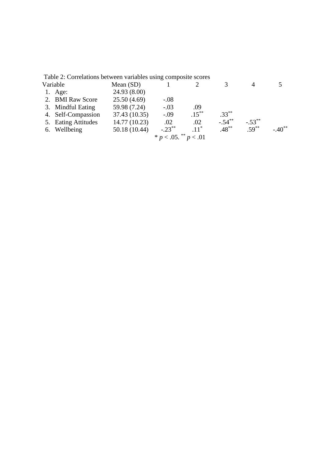| Table 2: Correlations between variables using composite scores |               |                            |          |           |           |          |
|----------------------------------------------------------------|---------------|----------------------------|----------|-----------|-----------|----------|
| Variable                                                       | Mean $(SD)$   |                            |          |           | 4         |          |
| 1. Age:                                                        | 24.93(8.00)   |                            |          |           |           |          |
| 2. BMI Raw Score                                               | 25.50(4.69)   | $-.08$                     |          |           |           |          |
| 3. Mindful Eating                                              | 59.98 (7.24)  | $-.03$                     | .09      |           |           |          |
| 4. Self-Compassion                                             | 37.43 (10.35) | $-.09$                     | $.15***$ | $.33***$  |           |          |
| 5. Eating Attitudes                                            | 14.77 (10.23) | .02                        | .02      | $-.54***$ | $-.53***$ |          |
| 6. Wellbeing                                                   | 50.18 (10.44) | $-.23***$                  | $.11^*$  | $.48***$  | $.59***$  | $-.40**$ |
|                                                                |               | * $p < .05$ . ** $p < .01$ |          |           |           |          |
|                                                                |               |                            |          |           |           |          |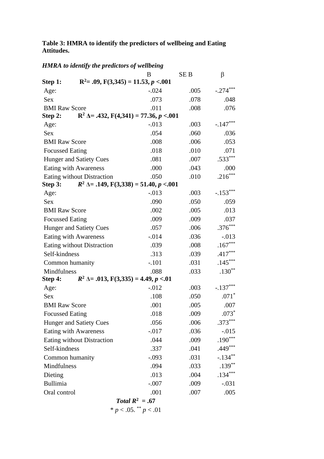# **Table 3: HMRA to identify the predictors of wellbeing and Eating Attitudes.**

|  |  |  |  |  | <b>HMRA</b> to identify the predictors of wellbeing |
|--|--|--|--|--|-----------------------------------------------------|
|--|--|--|--|--|-----------------------------------------------------|

|                                                                     | B                 | <b>SEB</b> | β          |
|---------------------------------------------------------------------|-------------------|------------|------------|
| $R^2 = .09$ , $F(3,345) = 11.53$ , $p < .001$<br>Step 1:            |                   |            |            |
| Age:                                                                | $-.024$           | .005       | $-.274***$ |
| <b>Sex</b>                                                          | .073              | .078       | .048       |
| <b>BMI Raw Score</b>                                                | .011              | .008       | .076       |
| $R^2 \Delta = .432$ , $F(4,341) = 77.36$ , $p < .001$<br>Step 2:    |                   |            |            |
| Age:                                                                | $-0.013$          | .003       | $-.147***$ |
| <b>Sex</b>                                                          | .054              | .060       | .036       |
| <b>BMI Raw Score</b>                                                | .008              | .006       | .053       |
| <b>Focussed Eating</b>                                              | .018              | .010       | .071       |
| <b>Hunger and Satiety Cues</b>                                      | .081              | .007       | $.533***$  |
| <b>Eating with Awareness</b>                                        | .000              | .043       | .000       |
| Eating without Distraction                                          | .050              | .010       | $.216***$  |
| $R^2 \triangle = .149$ , $F(3,338) = 51.40$ , $p < .001$<br>Step 3: |                   |            |            |
| Age:                                                                | $-0.013$          | .003       | $-.153***$ |
| <b>Sex</b>                                                          | .090              | .050       | .059       |
| <b>BMI Raw Score</b>                                                | .002              | .005       | .013       |
| <b>Focussed Eating</b>                                              | .009              | .009       | .037       |
| Hunger and Satiety Cues                                             | .057              | .006       | $.376***$  |
| Eating with Awareness                                               | $-0.014$          | .036       | $-.013$    |
| Eating without Distraction                                          | .039              | .008       | $.167***$  |
| Self-kindness                                                       | .313              | .039       | $.417***$  |
| Common humanity                                                     | $-.101$           | .031       | $.145***$  |
| Mindfulness                                                         | .088              | .033       | $.130**$   |
| $R^2 \triangle = .013$ , $F(3,335) = 4.49$ , $p < .01$<br>Step 4:   |                   |            |            |
| Age:                                                                | $-0.012$          | .003       | $-.137***$ |
| <b>Sex</b>                                                          | .108              | .050       | $.071*$    |
| <b>BMI Raw Score</b>                                                | .001              | .005       | .007       |
| <b>Focussed Eating</b>                                              | .018              | .009       | $.073*$    |
| <b>Hunger and Satiety Cues</b>                                      | .056              | .006       | $.373***$  |
| <b>Eating with Awareness</b>                                        | $-0.017$          | .036       | $-0.015$   |
| <b>Eating without Distraction</b>                                   | .044              | .009       | $.190***$  |
| Self-kindness                                                       | .337              | .041       | $.449***$  |
| Common humanity                                                     | $-.093$           | .031       | $-.134**$  |
| Mindfulness                                                         | .094              | .033       | $.139***$  |
| Dieting                                                             | .013              | .004       | $.134***$  |
| <b>Bullimia</b>                                                     | $-.007$           | .009       | $-.031$    |
| Oral control                                                        | .001              | .007       | .005       |
|                                                                     | Total $R^2 = .67$ |            |            |

 $* p < .05.$ <sup>\*\*</sup>  $p < .01$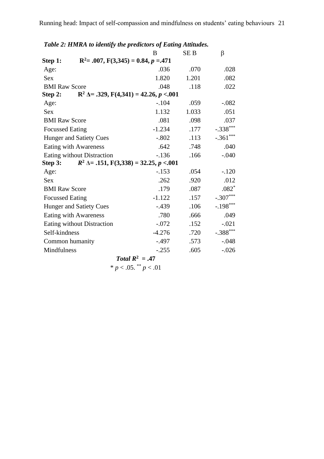|                                | Table 2: HMRA to identify the predictors of Eating Attitudes. |            |             |
|--------------------------------|---------------------------------------------------------------|------------|-------------|
|                                | B                                                             | <b>SEB</b> | β           |
| Step 1:                        | $R^2 = .007$ , $F(3,345) = 0.84$ , $p = .471$                 |            |             |
| Age:                           | .036                                                          | .070       | .028        |
| <b>Sex</b>                     | 1.820                                                         | 1.201      | .082        |
| <b>BMI Raw Score</b>           | .048                                                          | .118       | .022        |
| Step 2:                        | $R^2 \Delta = .329$ , $F(4,341) = 42.26$ , $p < .001$         |            |             |
| Age:                           | $-.104$                                                       | .059       | $-.082$     |
| <b>Sex</b>                     | 1.132                                                         | 1.033      | .051        |
| <b>BMI Raw Score</b>           | .081                                                          | .098       | .037        |
| <b>Focussed Eating</b>         | $-1.234$                                                      | .177       | $-.338***$  |
| <b>Hunger and Satiety Cues</b> | $-.802$                                                       | .113       | $-.361***$  |
| Eating with Awareness          | .642                                                          | .748       | .040        |
| Eating without Distraction     | $-136$                                                        | .166       | $-.040$     |
| Step 3:                        | $R^2$ $\Delta$ = .151, F(3,338) = 32.25, p < 001              |            |             |
| Age:                           | $-.153$                                                       | .054       | $-.120$     |
| <b>Sex</b>                     | .262                                                          | .920       | .012        |
| <b>BMI Raw Score</b>           | .179                                                          | .087       | $.082*$     |
| <b>Focussed Eating</b>         | $-1.122$                                                      | .157       | $-.307***$  |
| <b>Hunger and Satiety Cues</b> | $-.439$                                                       | .106       | $-.198***$  |
| Eating with Awareness          | .780                                                          | .666       | .049        |
| Eating without Distraction     | $-.072$                                                       | .152       | $-.021$     |
| Self-kindness                  | $-4.276$                                                      | .720       | $-.388$ *** |
| Common humanity                | $-.497$                                                       | .573       | $-.048$     |
| Mindfulness                    | $-.255$                                                       | .605       | $-.026$     |
|                                | Total $R^2 = .47$                                             |            |             |

*Table 2: HMRA to identify the predictors of Eating Attitudes.*

\*
$$
p < .05.
$$
\*\* $p < .01$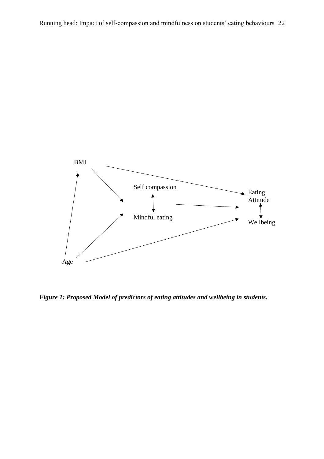

*Figure 1: Proposed Model of predictors of eating attitudes and wellbeing in students.*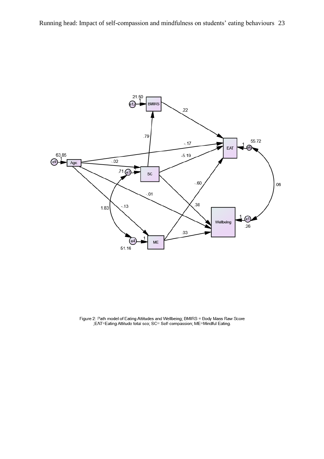

Figure 2: Path model of Eating Attitudes and Wellbeing; BMIRS = Body Mass Raw Score<br>;EAT=Eating Attitude total sco; SC= Self-compassion; ME=Mindful Eating.